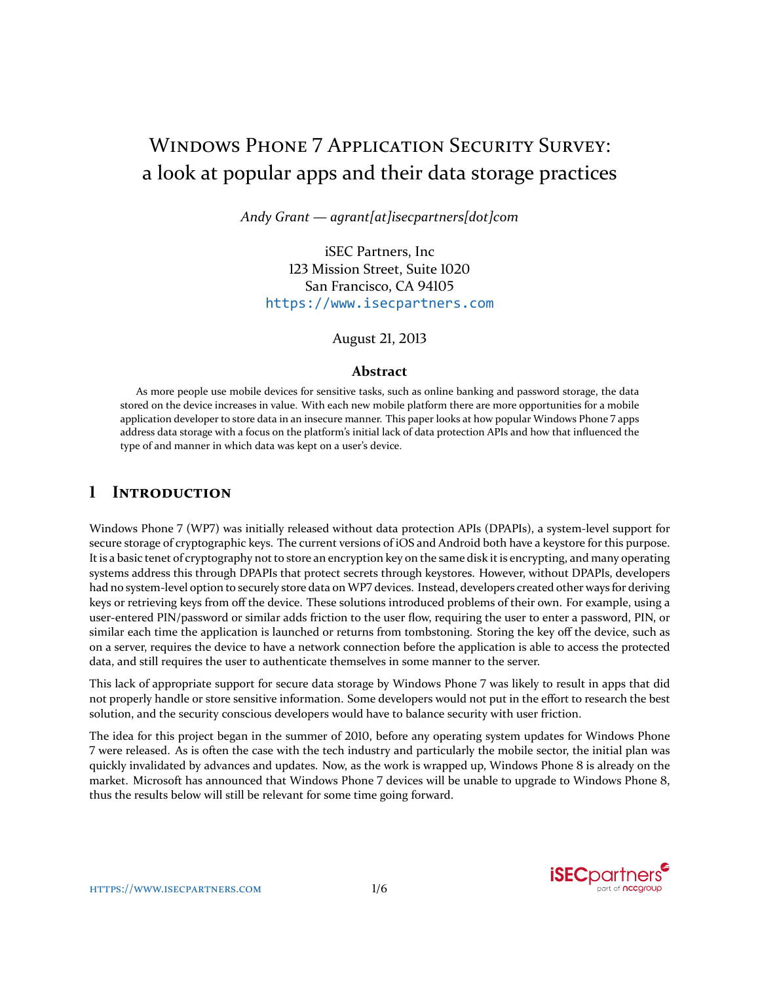# WINDOWS PHONE 7 APPLICATION SECURITY SURVEY: a look at popular apps and their data storage practices

*Andy Grant — agrant[at]isecpartners[dot]com*

iSEC Partners, Inc 123 Mission Street, Suite 1020 San Francisco, CA 94105 <https://www.isecpartners.com>

August 21, 2013

#### **Abstract**

As more people use mobile devices for sensitive tasks, such as online banking and password storage, the data stored on the device increases in value. With each new mobile platform there are more opportunities for a mobile application developer to store data in an insecure manner. This paper looks at how popular Windows Phone 7 apps address data storage with a focus on the platform's initial lack of data protection APIs and how that influenced the type of and manner in which data was kept on a user's device.

#### **1 INTRODUCTION**

Windows Phone 7 (WP7) was initially released without data protection APIs (DPAPIs), a system-level support for secure storage of cryptographic keys. The current versions of iOS and Android both have a keystore for this purpose. It is a basic tenet of cryptography not to store an encryption key on the same disk it is encrypting, and many operating systems address this through DPAPIs that protect secrets through keystores. However, without DPAPIs, developers had no system-level option to securely store data on WP7 devices. Instead, developers created other ways for deriving keys or retrieving keys from off the device. These solutions introduced problems of their own. For example, using a user-entered PIN/password or similar adds friction to the user flow, requiring the user to enter a password, PIN, or similar each time the application is launched or returns from tombstoning. Storing the key off the device, such as on a server, requires the device to have a network connection before the application is able to access the protected data, and still requires the user to authenticate themselves in some manner to the server.

This lack of appropriate support for secure data storage by Windows Phone 7 was likely to result in apps that did not properly handle or store sensitive information. Some developers would not put in the effort to research the best solution, and the security conscious developers would have to balance security with user friction.

The idea for this project began in the summer of 2010, before any operating system updates for Windows Phone 7 were released. As is often the case with the tech industry and particularly the mobile sector, the initial plan was quickly invalidated by advances and updates. Now, as the work is wrapped up, Windows Phone 8 is already on the market. Microsoft has announced that Windows Phone 7 devices will be unable to upgrade to Windows Phone 8, thus the results below will still be relevant for some time going forward.

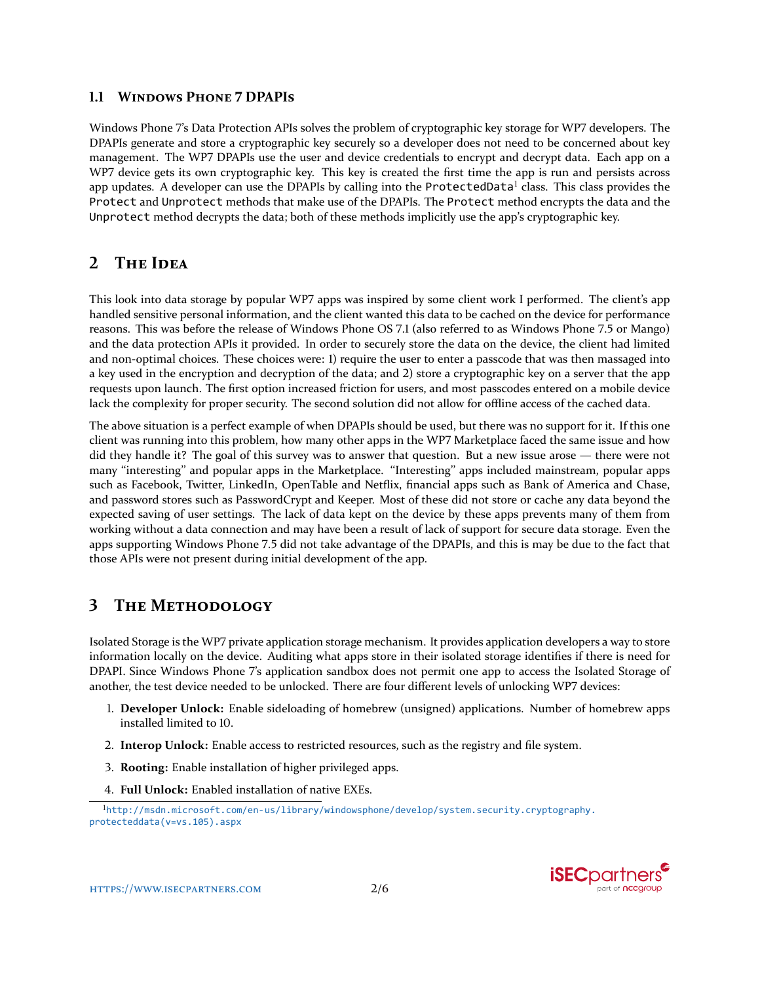#### **1.1 WINDOWS PHONE 7 DPAPIS**

Windows Phone 7's Data Protection APIs solves the problem of cryptographic key storage for WP7 developers. The DPAPIs generate and store a cryptographic key securely so a developer does not need to be concerned about key management. The WP7 DPAPIs use the user and device credentials to encrypt and decrypt data. Each app on a WP7 device gets its own cryptographic key. This key is created the first time the app is run and persists across app updates. A developer can use the DPAPIs by calling into the Pro $\sf{tectedData}^l$  class. This class provides the Protect and Unprotect methods that make use of the DPAPIs. The Protect method encrypts the data and the Unprotect method decrypts the data; both of these methods implicitly use the app's cryptographic key.

### **2 THE IDEA**

This look into data storage by popular WP7 apps was inspired by some client work I performed. The client's app handled sensitive personal information, and the client wanted this data to be cached on the device for performance reasons. This was before the release of Windows Phone OS 7.1 (also referred to as Windows Phone 7.5 or Mango) and the data protection APIs it provided. In order to securely store the data on the device, the client had limited and non-optimal choices. These choices were: 1) require the user to enter a passcode that was then massaged into a key used in the encryption and decryption of the data; and 2) store a cryptographic key on a server that the app requests upon launch. The first option increased friction for users, and most passcodes entered on a mobile device lack the complexity for proper security. The second solution did not allow for offline access of the cached data.

The above situation is a perfect example of when DPAPIs should be used, but there was no support for it. If this one client was running into this problem, how many other apps in the WP7 Marketplace faced the same issue and how did they handle it? The goal of this survey was to answer that question. But a new issue arose — there were not many "interesting" and popular apps in the Marketplace. "Interesting" apps included mainstream, popular apps such as Facebook, Twitter, LinkedIn, OpenTable and Netflix, financial apps such as Bank of America and Chase, and password stores such as PasswordCrypt and Keeper. Most of these did not store or cache any data beyond the expected saving of user settings. The lack of data kept on the device by these apps prevents many of them from working without a data connection and may have been a result of lack of support for secure data storage. Even the apps supporting Windows Phone 7.5 did not take advantage of the DPAPIs, and this is may be due to the fact that those APIs were not present during initial development of the app.

# **3 THE METHODOLOGY**

Isolated Storage is the WP7 private application storage mechanism. It provides application developers a way to store information locally on the device. Auditing what apps store in their isolated storage identifies if there is need for DPAPI. Since Windows Phone 7's application sandbox does not permit one app to access the Isolated Storage of another, the test device needed to be unlocked. There are four different levels of unlocking WP7 devices:

- 1. **Developer Unlock:** Enable sideloading of homebrew (unsigned) applications. Number of homebrew apps installed limited to 10.
- 2. **Interop Unlock:** Enable access to restricted resources, such as the registry and file system.
- 3. **Rooting:** Enable installation of higher privileged apps.
- 4. **Full Unlock:** Enabled installation of native EXEs.

<span id="page-1-0"></span><sup>1</sup>[http://msdn.microsoft.com/en-us/library/windowsphone/develop/system.security.cryptography.](http://msdn.microsoft.com/en-us/library/windowsphone/develop/system.security.cryptography.protecteddata(v=vs.105).aspx) [protecteddata\(v=vs.105\).aspx](http://msdn.microsoft.com/en-us/library/windowsphone/develop/system.security.cryptography.protecteddata(v=vs.105).aspx)

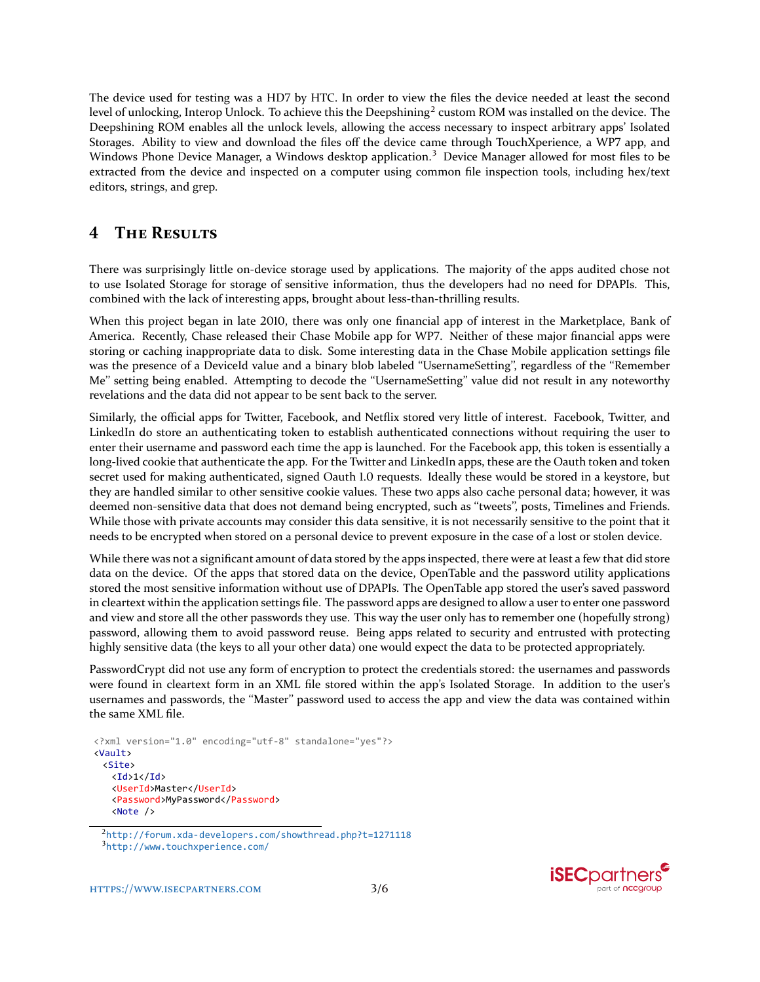The device used for testing was a HD7 by HTC. In order to view the files the device needed at least the second level of unlocking, Interop Unlock. To achieve this the Deepshining $^2$  $^2$  custom ROM was installed on the device. The Deepshining ROM enables all the unlock levels, allowing the access necessary to inspect arbitrary apps' Isolated Storages. Ability to view and download the files off the device came through TouchXperience, a WP7 app, and Windows Phone Device Manager, a Windows desktop application.<sup>[3](#page-2-1)</sup> Device Manager allowed for most files to be extracted from the device and inspected on a computer using common file inspection tools, including hex/text editors, strings, and grep.

### **4 THE RESULTS**

There was surprisingly little on-device storage used by applications. The majority of the apps audited chose not to use Isolated Storage for storage of sensitive information, thus the developers had no need for DPAPIs. This, combined with the lack of interesting apps, brought about less-than-thrilling results.

When this project began in late 2010, there was only one financial app of interest in the Marketplace, Bank of America. Recently, Chase released their Chase Mobile app for WP7. Neither of these major financial apps were storing or caching inappropriate data to disk. Some interesting data in the Chase Mobile application settings file was the presence of a DeviceId value and a binary blob labeled "UsernameSetting", regardless of the "Remember Me" setting being enabled. Attempting to decode the "UsernameSetting" value did not result in any noteworthy revelations and the data did not appear to be sent back to the server.

Similarly, the official apps for Twitter, Facebook, and Netflix stored very little of interest. Facebook, Twitter, and LinkedIn do store an authenticating token to establish authenticated connections without requiring the user to enter their username and password each time the app is launched. For the Facebook app, this token is essentially a long-lived cookie that authenticate the app. For the Twitter and LinkedIn apps, these are the Oauth token and token secret used for making authenticated, signed Oauth 1.0 requests. Ideally these would be stored in a keystore, but they are handled similar to other sensitive cookie values. These two apps also cache personal data; however, it was deemed non-sensitive data that does not demand being encrypted, such as "tweets", posts, Timelines and Friends. While those with private accounts may consider this data sensitive, it is not necessarily sensitive to the point that it needs to be encrypted when stored on a personal device to prevent exposure in the case of a lost or stolen device.

While there was not a significant amount of data stored by the apps inspected, there were at least a few that did store data on the device. Of the apps that stored data on the device, OpenTable and the password utility applications stored the most sensitive information without use of DPAPIs. The OpenTable app stored the user's saved password in cleartext within the application settings file. The password apps are designed to allow a user to enter one password and view and store all the other passwords they use. This way the user only has to remember one (hopefully strong) password, allowing them to avoid password reuse. Being apps related to security and entrusted with protecting highly sensitive data (the keys to all your other data) one would expect the data to be protected appropriately.

PasswordCrypt did not use any form of encryption to protect the credentials stored: the usernames and passwords were found in cleartext form in an XML file stored within the app's Isolated Storage. In addition to the user's usernames and passwords, the "Master" password used to access the app and view the data was contained within the same XML file.

```
<?xml version="1.0" encoding="utf-8" standalone="yes"?>
<Vault>
 <Site>
   <Id>1</Id>
   <UserId>Master</UserId>
   <Password>MyPassword</Password>
   <Note />
```


<span id="page-2-1"></span><span id="page-2-0"></span><sup>2</sup><http://forum.xda-developers.com/showthread.php?t=1271118> <sup>3</sup><http://www.touchxperience.com/>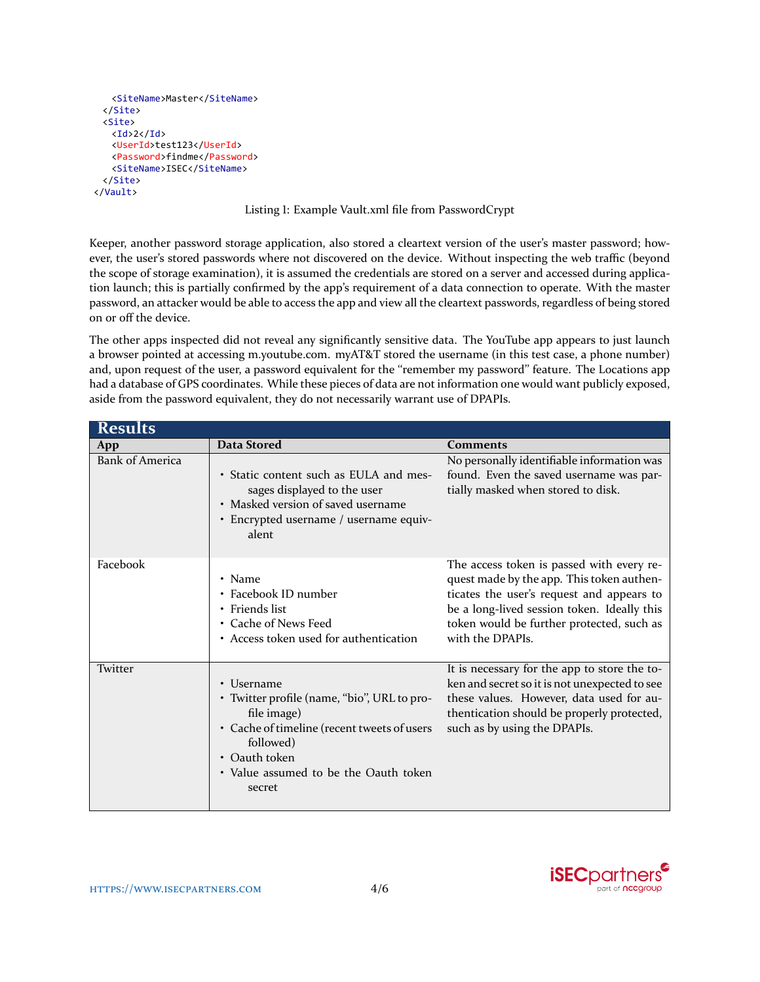```
<SiteName>Master</SiteName>
 </Site>
 <Site>
   \langle Id>2\langle /Id><UserId>test123</UserId>
   <Password>findme</Password>
   <SiteName>ISEC</SiteName>
 </Site>
</Vault>
```
Listing 1: Example Vault.xml file from PasswordCrypt

Keeper, another password storage application, also stored a cleartext version of the user's master password; however, the user's stored passwords where not discovered on the device. Without inspecting the web traffic (beyond the scope of storage examination), it is assumed the credentials are stored on a server and accessed during application launch; this is partially confirmed by the app's requirement of a data connection to operate. With the master password, an attacker would be able to access the app and view all the cleartext passwords, regardless of being stored on or off the device.

The other apps inspected did not reveal any significantly sensitive data. The YouTube app appears to just launch a browser pointed at accessing m.youtube.com. myAT&T stored the username (in this test case, a phone number) and, upon request of the user, a password equivalent for the "remember my password" feature. The Locations app had a database of GPS coordinates. While these pieces of data are not information one would want publicly exposed, aside from the password equivalent, they do not necessarily warrant use of DPAPIs.

| <b>Results</b>         |                                                                                                                                                                                                          |                                                                                                                                                                                                                                                     |  |
|------------------------|----------------------------------------------------------------------------------------------------------------------------------------------------------------------------------------------------------|-----------------------------------------------------------------------------------------------------------------------------------------------------------------------------------------------------------------------------------------------------|--|
| App                    | Data Stored                                                                                                                                                                                              | <b>Comments</b>                                                                                                                                                                                                                                     |  |
| <b>Bank of America</b> | • Static content such as EULA and mes-<br>sages displayed to the user<br>• Masked version of saved username<br>• Encrypted username / username equiv-<br>alent                                           | No personally identifiable information was<br>found. Even the saved username was par-<br>tially masked when stored to disk.                                                                                                                         |  |
| Facebook               | • Name<br>• Facebook ID number<br>• Friends list<br>• Cache of News Feed<br>• Access token used for authentication                                                                                       | The access token is passed with every re-<br>quest made by the app. This token authen-<br>ticates the user's request and appears to<br>be a long-lived session token. Ideally this<br>token would be further protected, such as<br>with the DPAPIs. |  |
| Twitter                | • Username<br>• Twitter profile (name, "bio", URL to pro-<br>file image)<br>• Cache of timeline (recent tweets of users<br>followed)<br>• Oauth token<br>• Value assumed to be the Oauth token<br>secret | It is necessary for the app to store the to-<br>ken and secret so it is not unexpected to see<br>these values. However, data used for au-<br>thentication should be properly protected,<br>such as by using the DPAPIs.                             |  |

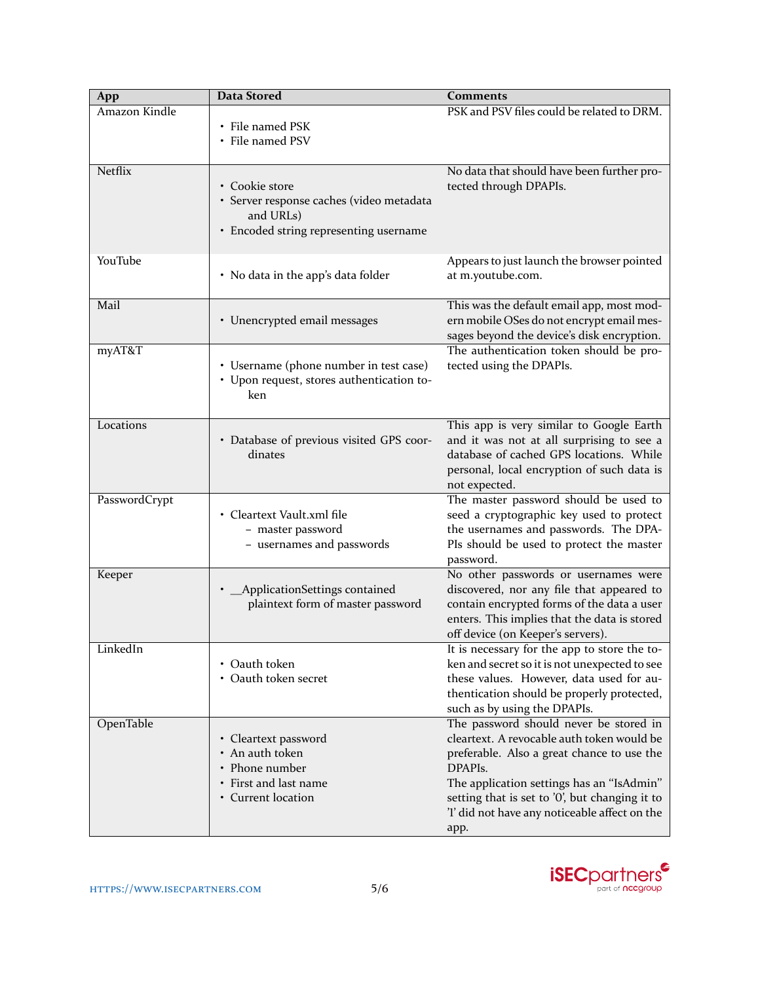| App            | <b>Data Stored</b>                                                                                                | <b>Comments</b>                                                                                                                                                                                                                                                                                                    |
|----------------|-------------------------------------------------------------------------------------------------------------------|--------------------------------------------------------------------------------------------------------------------------------------------------------------------------------------------------------------------------------------------------------------------------------------------------------------------|
| Amazon Kindle  | • File named PSK<br>• File named PSV                                                                              | PSK and PSV files could be related to DRM.                                                                                                                                                                                                                                                                         |
| Netflix        | • Cookie store<br>· Server response caches (video metadata<br>and URLs)<br>• Encoded string representing username | No data that should have been further pro-<br>tected through DPAPIs.                                                                                                                                                                                                                                               |
| <b>YouTube</b> | • No data in the app's data folder                                                                                | Appears to just launch the browser pointed<br>at m.youtube.com.                                                                                                                                                                                                                                                    |
| Mail           | • Unencrypted email messages                                                                                      | This was the default email app, most mod-<br>ern mobile OSes do not encrypt email mes-<br>sages beyond the device's disk encryption.                                                                                                                                                                               |
| myAT&T         | • Username (phone number in test case)<br>· Upon request, stores authentication to-<br>ken                        | The authentication token should be pro-<br>tected using the DPAPIs.                                                                                                                                                                                                                                                |
| Locations      | • Database of previous visited GPS coor-<br>dinates                                                               | This app is very similar to Google Earth<br>and it was not at all surprising to see a<br>database of cached GPS locations. While<br>personal, local encryption of such data is<br>not expected.                                                                                                                    |
| PasswordCrypt  | • Cleartext Vault.xml file<br>- master password<br>- usernames and passwords                                      | The master password should be used to<br>seed a cryptographic key used to protect<br>the usernames and passwords. The DPA-<br>PIs should be used to protect the master<br>password.                                                                                                                                |
| Keeper         | ApplicationSettings contained<br>plaintext form of master password                                                | No other passwords or usernames were<br>discovered, nor any file that appeared to<br>contain encrypted forms of the data a user<br>enters. This implies that the data is stored<br>off device (on Keeper's servers).                                                                                               |
| LinkedIn       | • Oauth token<br>• Oauth token secret                                                                             | It is necessary for the app to store the to-<br>ken and secret so it is not unexpected to see<br>these values. However, data used for au-<br>thentication should be properly protected,<br>such as by using the DPAPIs.                                                                                            |
| OpenTable      | • Cleartext password<br>• An auth token<br>• Phone number<br>• First and last name<br>• Current location          | The password should never be stored in<br>cleartext. A revocable auth token would be<br>preferable. Also a great chance to use the<br>DPAPI <sub>s</sub> .<br>The application settings has an "IsAdmin"<br>setting that is set to '0', but changing it to<br>'l' did not have any noticeable affect on the<br>app. |